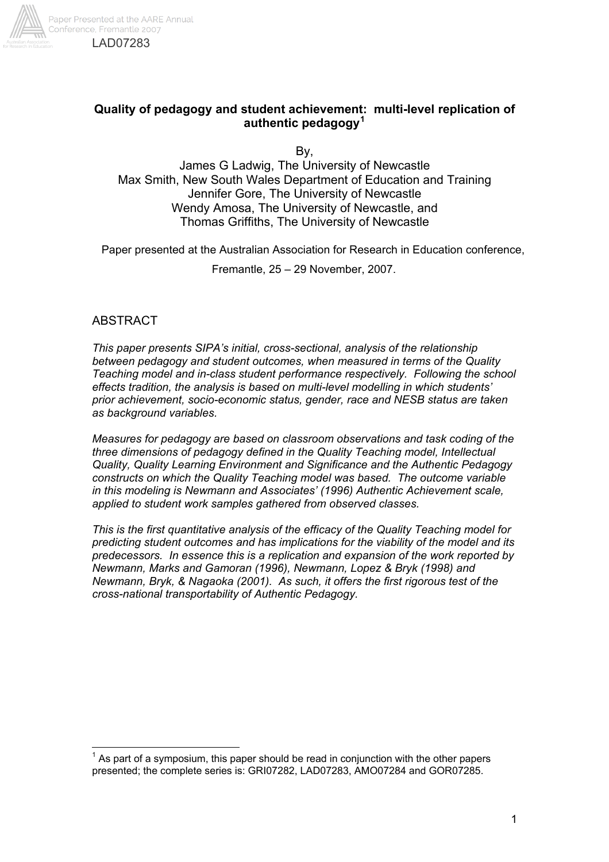

# **Quality of pedagogy and student achievement: multi-level replication of authentic pedagogy<sup>1</sup>**

By,

James G Ladwig, The University of Newcastle Max Smith, New South Wales Department of Education and Training Jennifer Gore, The University of Newcastle Wendy Amosa, The University of Newcastle, and Thomas Griffiths, The University of Newcastle

Paper presented at the Australian Association for Research in Education conference,

Fremantle, 25 – 29 November, 2007.

# **ABSTRACT**

 $\overline{a}$ 

*This paper presents SIPA's initial, cross-sectional, analysis of the relationship between pedagogy and student outcomes, when measured in terms of the Quality Teaching model and in-class student performance respectively. Following the school effects tradition, the analysis is based on multi-level modelling in which students' prior achievement, socio-economic status, gender, race and NESB status are taken as background variables.* 

*Measures for pedagogy are based on classroom observations and task coding of the three dimensions of pedagogy defined in the Quality Teaching model, Intellectual Quality, Quality Learning Environment and Significance and the Authentic Pedagogy constructs on which the Quality Teaching model was based. The outcome variable in this modeling is Newmann and Associates' (1996) Authentic Achievement scale, applied to student work samples gathered from observed classes.* 

*This is the first quantitative analysis of the efficacy of the Quality Teaching model for predicting student outcomes and has implications for the viability of the model and its predecessors. In essence this is a replication and expansion of the work reported by Newmann, Marks and Gamoran (1996), Newmann, Lopez & Bryk (1998) and Newmann, Bryk, & Nagaoka (2001). As such, it offers the first rigorous test of the cross-national transportability of Authentic Pedagogy.* 

 $1$  As part of a symposium, this paper should be read in conjunction with the other papers presented; the complete series is: GRI07282, LAD07283, AMO07284 and GOR07285.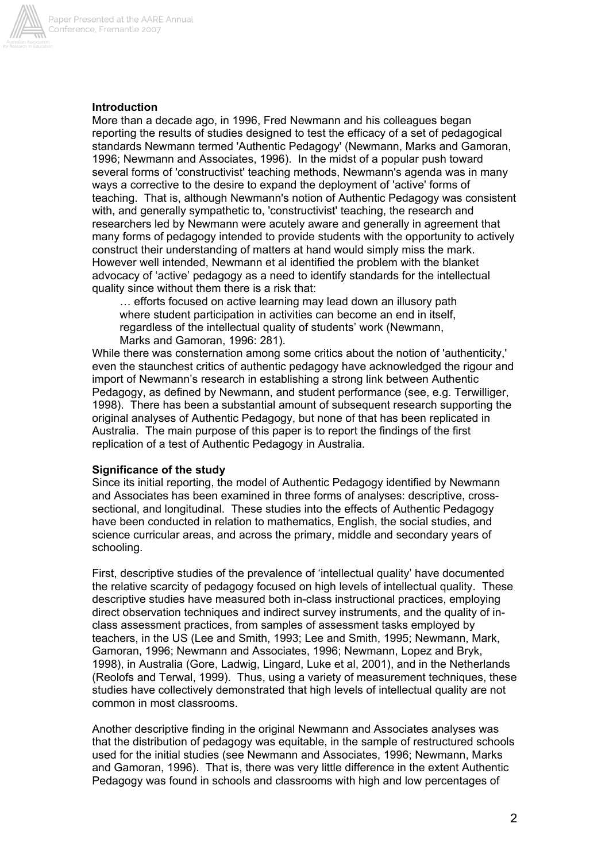

# **Introduction**

More than a decade ago, in 1996, Fred Newmann and his colleagues began reporting the results of studies designed to test the efficacy of a set of pedagogical standards Newmann termed 'Authentic Pedagogy' (Newmann, Marks and Gamoran, 1996; Newmann and Associates, 1996). In the midst of a popular push toward several forms of 'constructivist' teaching methods, Newmann's agenda was in many ways a corrective to the desire to expand the deployment of 'active' forms of teaching. That is, although Newmann's notion of Authentic Pedagogy was consistent with, and generally sympathetic to, 'constructivist' teaching, the research and researchers led by Newmann were acutely aware and generally in agreement that many forms of pedagogy intended to provide students with the opportunity to actively construct their understanding of matters at hand would simply miss the mark. However well intended, Newmann et al identified the problem with the blanket advocacy of 'active' pedagogy as a need to identify standards for the intellectual quality since without them there is a risk that:

… efforts focused on active learning may lead down an illusory path where student participation in activities can become an end in itself, regardless of the intellectual quality of students' work (Newmann, Marks and Gamoran, 1996: 281).

While there was consternation among some critics about the notion of 'authenticity,' even the staunchest critics of authentic pedagogy have acknowledged the rigour and import of Newmann's research in establishing a strong link between Authentic Pedagogy, as defined by Newmann, and student performance (see, e.g. Terwilliger, 1998). There has been a substantial amount of subsequent research supporting the original analyses of Authentic Pedagogy, but none of that has been replicated in Australia. The main purpose of this paper is to report the findings of the first replication of a test of Authentic Pedagogy in Australia.

## **Significance of the study**

Since its initial reporting, the model of Authentic Pedagogy identified by Newmann and Associates has been examined in three forms of analyses: descriptive, crosssectional, and longitudinal. These studies into the effects of Authentic Pedagogy have been conducted in relation to mathematics, English, the social studies, and science curricular areas, and across the primary, middle and secondary years of schooling.

First, descriptive studies of the prevalence of 'intellectual quality' have documented the relative scarcity of pedagogy focused on high levels of intellectual quality. These descriptive studies have measured both in-class instructional practices, employing direct observation techniques and indirect survey instruments, and the quality of inclass assessment practices, from samples of assessment tasks employed by teachers, in the US (Lee and Smith, 1993; Lee and Smith, 1995; Newmann, Mark, Gamoran, 1996; Newmann and Associates, 1996; Newmann, Lopez and Bryk, 1998), in Australia (Gore, Ladwig, Lingard, Luke et al, 2001), and in the Netherlands (Reolofs and Terwal, 1999). Thus, using a variety of measurement techniques, these studies have collectively demonstrated that high levels of intellectual quality are not common in most classrooms.

Another descriptive finding in the original Newmann and Associates analyses was that the distribution of pedagogy was equitable, in the sample of restructured schools used for the initial studies (see Newmann and Associates, 1996; Newmann, Marks and Gamoran, 1996). That is, there was very little difference in the extent Authentic Pedagogy was found in schools and classrooms with high and low percentages of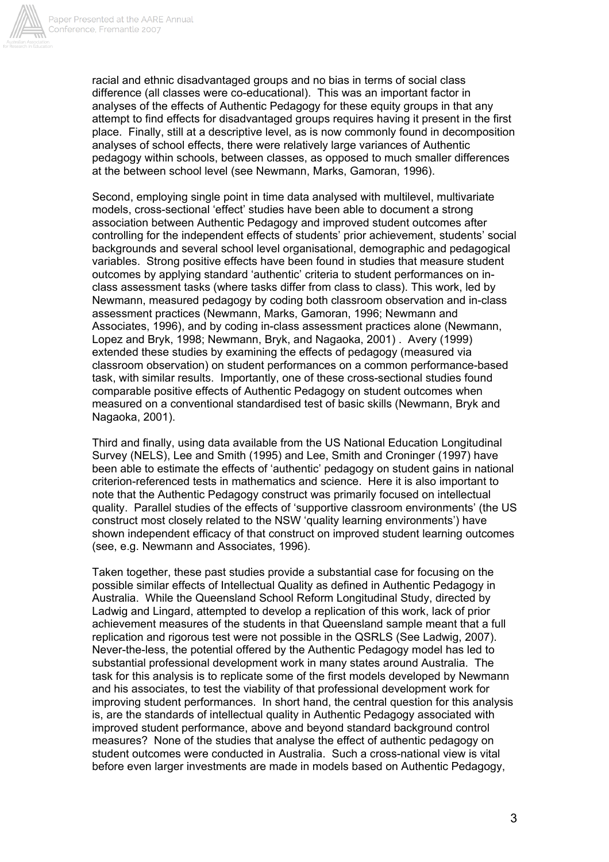

racial and ethnic disadvantaged groups and no bias in terms of social class difference (all classes were co-educational). This was an important factor in analyses of the effects of Authentic Pedagogy for these equity groups in that any attempt to find effects for disadvantaged groups requires having it present in the first place. Finally, still at a descriptive level, as is now commonly found in decomposition analyses of school effects, there were relatively large variances of Authentic pedagogy within schools, between classes, as opposed to much smaller differences at the between school level (see Newmann, Marks, Gamoran, 1996).

Second, employing single point in time data analysed with multilevel, multivariate models, cross-sectional 'effect' studies have been able to document a strong association between Authentic Pedagogy and improved student outcomes after controlling for the independent effects of students' prior achievement, students' social backgrounds and several school level organisational, demographic and pedagogical variables. Strong positive effects have been found in studies that measure student outcomes by applying standard 'authentic' criteria to student performances on inclass assessment tasks (where tasks differ from class to class). This work, led by Newmann, measured pedagogy by coding both classroom observation and in-class assessment practices (Newmann, Marks, Gamoran, 1996; Newmann and Associates, 1996), and by coding in-class assessment practices alone (Newmann, Lopez and Bryk, 1998; Newmann, Bryk, and Nagaoka, 2001) . Avery (1999) extended these studies by examining the effects of pedagogy (measured via classroom observation) on student performances on a common performance-based task, with similar results. Importantly, one of these cross-sectional studies found comparable positive effects of Authentic Pedagogy on student outcomes when measured on a conventional standardised test of basic skills (Newmann, Bryk and Nagaoka, 2001).

Third and finally, using data available from the US National Education Longitudinal Survey (NELS), Lee and Smith (1995) and Lee, Smith and Croninger (1997) have been able to estimate the effects of 'authentic' pedagogy on student gains in national criterion-referenced tests in mathematics and science. Here it is also important to note that the Authentic Pedagogy construct was primarily focused on intellectual quality. Parallel studies of the effects of 'supportive classroom environments' (the US construct most closely related to the NSW 'quality learning environments') have shown independent efficacy of that construct on improved student learning outcomes (see, e.g. Newmann and Associates, 1996).

Taken together, these past studies provide a substantial case for focusing on the possible similar effects of Intellectual Quality as defined in Authentic Pedagogy in Australia. While the Queensland School Reform Longitudinal Study, directed by Ladwig and Lingard, attempted to develop a replication of this work, lack of prior achievement measures of the students in that Queensland sample meant that a full replication and rigorous test were not possible in the QSRLS (See Ladwig, 2007). Never-the-less, the potential offered by the Authentic Pedagogy model has led to substantial professional development work in many states around Australia. The task for this analysis is to replicate some of the first models developed by Newmann and his associates, to test the viability of that professional development work for improving student performances. In short hand, the central question for this analysis is, are the standards of intellectual quality in Authentic Pedagogy associated with improved student performance, above and beyond standard background control measures? None of the studies that analyse the effect of authentic pedagogy on student outcomes were conducted in Australia. Such a cross-national view is vital before even larger investments are made in models based on Authentic Pedagogy,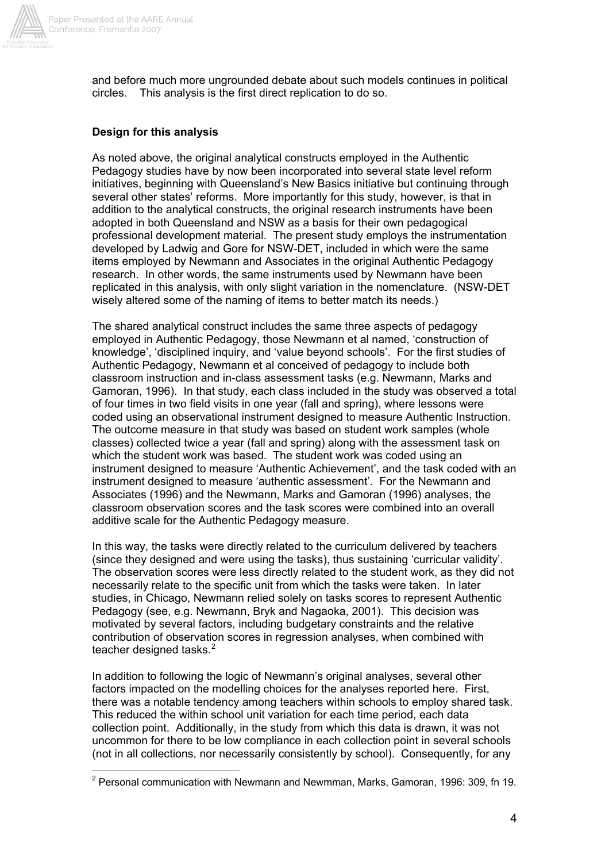

and before much more ungrounded debate about such models continues in political circles. This analysis is the first direct replication to do so.

### **Design for this analysis**

As noted above, the original analytical constructs employed in the Authentic Pedagogy studies have by now been incorporated into several state level reform initiatives, beginning with Queensland's New Basics initiative but continuing through several other states' reforms. More importantly for this study, however, is that in addition to the analytical constructs, the original research instruments have been adopted in both Queensland and NSW as a basis for their own pedagogical professional development material. The present study employs the instrumentation developed by Ladwig and Gore for NSW-DET, included in which were the same items employed by Newmann and Associates in the original Authentic Pedagogy research. In other words, the same instruments used by Newmann have been replicated in this analysis, with only slight variation in the nomenclature. (NSW-DET wisely altered some of the naming of items to better match its needs.)

The shared analytical construct includes the same three aspects of pedagogy employed in Authentic Pedagogy, those Newmann et al named, 'construction of knowledge', 'disciplined inquiry, and 'value beyond schools'. For the first studies of Authentic Pedagogy, Newmann et al conceived of pedagogy to include both classroom instruction and in-class assessment tasks (e.g. Newmann, Marks and Gamoran, 1996). In that study, each class included in the study was observed a total of four times in two field visits in one year (fall and spring), where lessons were coded using an observational instrument designed to measure Authentic Instruction. The outcome measure in that study was based on student work samples (whole classes) collected twice a year (fall and spring) along with the assessment task on which the student work was based. The student work was coded using an instrument designed to measure 'Authentic Achievement', and the task coded with an instrument designed to measure 'authentic assessment'. For the Newmann and Associates (1996) and the Newmann, Marks and Gamoran (1996) analyses, the classroom observation scores and the task scores were combined into an overall additive scale for the Authentic Pedagogy measure.

In this way, the tasks were directly related to the curriculum delivered by teachers (since they designed and were using the tasks), thus sustaining 'curricular validity'. The observation scores were less directly related to the student work, as they did not necessarily relate to the specific unit from which the tasks were taken. In later studies, in Chicago, Newmann relied solely on tasks scores to represent Authentic Pedagogy (see, e.g. Newmann, Bryk and Nagaoka, 2001). This decision was motivated by several factors, including budgetary constraints and the relative contribution of observation scores in regression analyses, when combined with teacher designed tasks.<sup>2</sup>

In addition to following the logic of Newmann's original analyses, several other factors impacted on the modelling choices for the analyses reported here. First, there was a notable tendency among teachers within schools to employ shared task. This reduced the within school unit variation for each time period, each data collection point. Additionally, in the study from which this data is drawn, it was not uncommon for there to be low compliance in each collection point in several schools (not in all collections, nor necessarily consistently by school). Consequently, for any

 2 Personal communication with Newmann and Newmman, Marks, Gamoran, 1996: 309, fn 19.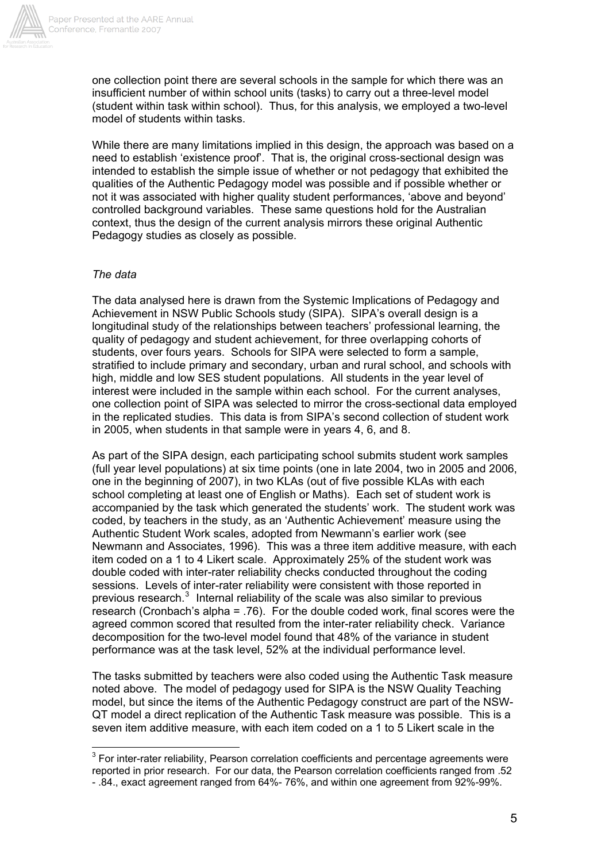

one collection point there are several schools in the sample for which there was an insufficient number of within school units (tasks) to carry out a three-level model (student within task within school). Thus, for this analysis, we employed a two-level model of students within tasks.

While there are many limitations implied in this design, the approach was based on a need to establish 'existence proof'. That is, the original cross-sectional design was intended to establish the simple issue of whether or not pedagogy that exhibited the qualities of the Authentic Pedagogy model was possible and if possible whether or not it was associated with higher quality student performances, 'above and beyond' controlled background variables. These same questions hold for the Australian context, thus the design of the current analysis mirrors these original Authentic Pedagogy studies as closely as possible.

### *The data*

 $\overline{a}$ 

The data analysed here is drawn from the Systemic Implications of Pedagogy and Achievement in NSW Public Schools study (SIPA). SIPA's overall design is a longitudinal study of the relationships between teachers' professional learning, the quality of pedagogy and student achievement, for three overlapping cohorts of students, over fours years. Schools for SIPA were selected to form a sample, stratified to include primary and secondary, urban and rural school, and schools with high, middle and low SES student populations. All students in the year level of interest were included in the sample within each school. For the current analyses, one collection point of SIPA was selected to mirror the cross-sectional data employed in the replicated studies. This data is from SIPA's second collection of student work in 2005, when students in that sample were in years 4, 6, and 8.

As part of the SIPA design, each participating school submits student work samples (full year level populations) at six time points (one in late 2004, two in 2005 and 2006, one in the beginning of 2007), in two KLAs (out of five possible KLAs with each school completing at least one of English or Maths). Each set of student work is accompanied by the task which generated the students' work. The student work was coded, by teachers in the study, as an 'Authentic Achievement' measure using the Authentic Student Work scales, adopted from Newmann's earlier work (see Newmann and Associates, 1996). This was a three item additive measure, with each item coded on a 1 to 4 Likert scale. Approximately 25% of the student work was double coded with inter-rater reliability checks conducted throughout the coding sessions. Levels of inter-rater reliability were consistent with those reported in previous research. $3$  Internal reliability of the scale was also similar to previous research (Cronbach's alpha = .76). For the double coded work, final scores were the agreed common scored that resulted from the inter-rater reliability check. Variance decomposition for the two-level model found that 48% of the variance in student performance was at the task level, 52% at the individual performance level.

The tasks submitted by teachers were also coded using the Authentic Task measure noted above. The model of pedagogy used for SIPA is the NSW Quality Teaching model, but since the items of the Authentic Pedagogy construct are part of the NSW-QT model a direct replication of the Authentic Task measure was possible. This is a seven item additive measure, with each item coded on a 1 to 5 Likert scale in the

 $3$  For inter-rater reliability, Pearson correlation coefficients and percentage agreements were reported in prior research. For our data, the Pearson correlation coefficients ranged from .52 - .84., exact agreement ranged from 64%- 76%, and within one agreement from 92%-99%.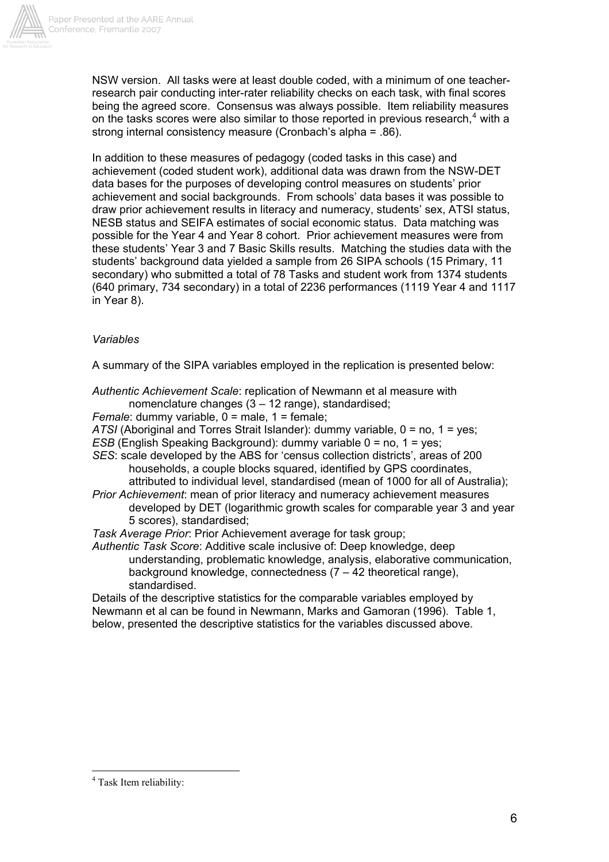

NSW version. All tasks were at least double coded, with a minimum of one teacherresearch pair conducting inter-rater reliability checks on each task, with final scores being the agreed score. Consensus was always possible. Item reliability measures on the tasks scores were also similar to those reported in previous research, $4$  with a strong internal consistency measure (Cronbach's alpha = .86).

In addition to these measures of pedagogy (coded tasks in this case) and achievement (coded student work), additional data was drawn from the NSW-DET data bases for the purposes of developing control measures on students' prior achievement and social backgrounds. From schools' data bases it was possible to draw prior achievement results in literacy and numeracy, students' sex, ATSI status, NESB status and SEIFA estimates of social economic status. Data matching was possible for the Year 4 and Year 8 cohort. Prior achievement measures were from these students' Year 3 and 7 Basic Skills results. Matching the studies data with the students' background data yielded a sample from 26 SIPA schools (15 Primary, 11 secondary) who submitted a total of 78 Tasks and student work from 1374 students (640 primary, 734 secondary) in a total of 2236 performances (1119 Year 4 and 1117 in Year 8).

#### *Variables*

A summary of the SIPA variables employed in the replication is presented below:

*Authentic Achievement Scale*: replication of Newmann et al measure with

nomenclature changes (3 – 12 range), standardised;

*Female:* dummy variable,  $0 =$  male,  $1 =$  female;

*ATSI* (Aboriginal and Torres Strait Islander): dummy variable, 0 = no, 1 = yes;

- *ESB* (English Speaking Background): dummy variable 0 = no, 1 = yes;
- *SES*: scale developed by the ABS for 'census collection districts', areas of 200 households, a couple blocks squared, identified by GPS coordinates, attributed to individual level, standardised (mean of 1000 for all of Australia);
- *Prior Achievement*: mean of prior literacy and numeracy achievement measures developed by DET (logarithmic growth scales for comparable year 3 and year 5 scores), standardised;

*Task Average Prior*: Prior Achievement average for task group;

*Authentic Task Score*: Additive scale inclusive of: Deep knowledge, deep understanding, problematic knowledge, analysis, elaborative communication, background knowledge, connectedness (7 – 42 theoretical range), standardised.

Details of the descriptive statistics for the comparable variables employed by Newmann et al can be found in Newmann, Marks and Gamoran (1996). Table 1, below, presented the descriptive statistics for the variables discussed above.

 $\overline{a}$ 

<sup>&</sup>lt;sup>4</sup> Task Item reliability: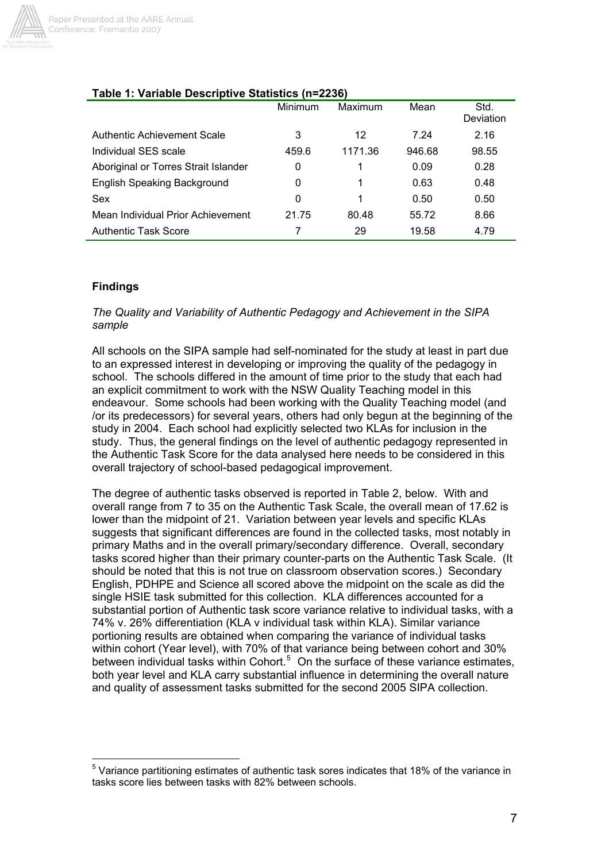

# **Table 1: Variable Descriptive Statistics (n=2236)**

|                                      | Minimum | Maximum | Mean   | Std.<br>Deviation |
|--------------------------------------|---------|---------|--------|-------------------|
| <b>Authentic Achievement Scale</b>   | 3       | 12      | 7.24   | 2.16              |
| Individual SES scale                 | 459.6   | 1171.36 | 946.68 | 98.55             |
| Aboriginal or Torres Strait Islander | 0       |         | 0.09   | 0.28              |
| <b>English Speaking Background</b>   | 0       |         | 0.63   | 0.48              |
| Sex                                  | 0       | 1       | 0.50   | 0.50              |
| Mean Individual Prior Achievement    | 21.75   | 80.48   | 55.72  | 8.66              |
| <b>Authentic Task Score</b>          |         | 29      | 19.58  | 4.79              |

# **Findings**

 $\overline{a}$ 

### *The Quality and Variability of Authentic Pedagogy and Achievement in the SIPA sample*

All schools on the SIPA sample had self-nominated for the study at least in part due to an expressed interest in developing or improving the quality of the pedagogy in school. The schools differed in the amount of time prior to the study that each had an explicit commitment to work with the NSW Quality Teaching model in this endeavour. Some schools had been working with the Quality Teaching model (and /or its predecessors) for several years, others had only begun at the beginning of the study in 2004. Each school had explicitly selected two KLAs for inclusion in the study. Thus, the general findings on the level of authentic pedagogy represented in the Authentic Task Score for the data analysed here needs to be considered in this overall trajectory of school-based pedagogical improvement.

The degree of authentic tasks observed is reported in Table 2, below. With and overall range from 7 to 35 on the Authentic Task Scale, the overall mean of 17.62 is lower than the midpoint of 21. Variation between year levels and specific KLAs suggests that significant differences are found in the collected tasks, most notably in primary Maths and in the overall primary/secondary difference. Overall, secondary tasks scored higher than their primary counter-parts on the Authentic Task Scale. (It should be noted that this is not true on classroom observation scores.) Secondary English, PDHPE and Science all scored above the midpoint on the scale as did the single HSIE task submitted for this collection. KLA differences accounted for a substantial portion of Authentic task score variance relative to individual tasks, with a 74% v. 26% differentiation (KLA v individual task within KLA). Similar variance portioning results are obtained when comparing the variance of individual tasks within cohort (Year level), with 70% of that variance being between cohort and 30% between individual tasks within Cohort.<sup>5</sup> On the surface of these variance estimates, both year level and KLA carry substantial influence in determining the overall nature and quality of assessment tasks submitted for the second 2005 SIPA collection.

 $5$  Variance partitioning estimates of authentic task sores indicates that 18% of the variance in tasks score lies between tasks with 82% between schools.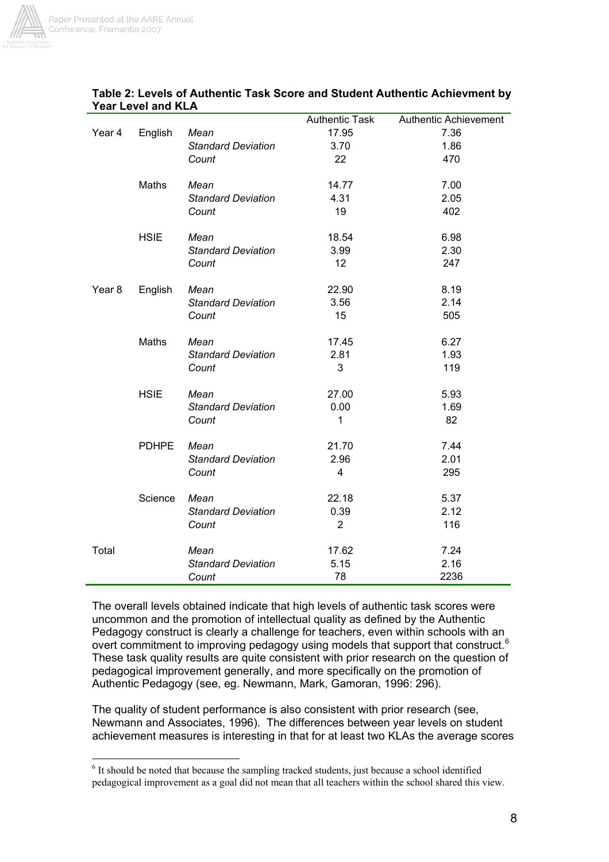

 $\overline{a}$ 

|                   |              |                           | <b>Authentic Task</b> | Authentic Achievement |
|-------------------|--------------|---------------------------|-----------------------|-----------------------|
| Year 4            | English      | Mean                      | 17.95                 | 7.36                  |
|                   |              | <b>Standard Deviation</b> | 3.70                  | 1.86                  |
|                   |              | Count                     | 22                    | 470                   |
|                   | Maths        | Mean                      | 14.77                 | 7.00                  |
|                   |              | <b>Standard Deviation</b> | 4.31                  | 2.05                  |
|                   |              | Count                     | 19                    | 402                   |
|                   | <b>HSIE</b>  | Mean                      | 18.54                 | 6.98                  |
|                   |              | <b>Standard Deviation</b> | 3.99                  | 2.30                  |
|                   |              | Count                     | 12                    | 247                   |
| Year <sub>8</sub> | English      | Mean                      | 22.90                 | 8.19                  |
|                   |              | <b>Standard Deviation</b> | 3.56                  | 2.14                  |
|                   |              | Count                     | 15                    | 505                   |
|                   | Maths        | Mean                      | 17.45                 | 6.27                  |
|                   |              | <b>Standard Deviation</b> | 2.81                  | 1.93                  |
|                   |              | Count                     | 3                     | 119                   |
|                   | <b>HSIE</b>  | Mean                      | 27.00                 | 5.93                  |
|                   |              | <b>Standard Deviation</b> | 0.00                  | 1.69                  |
|                   |              |                           | $\mathbf{1}$          | 82                    |
|                   |              | Count                     |                       |                       |
|                   | <b>PDHPE</b> | Mean                      | 21.70                 | 7.44                  |
|                   |              | <b>Standard Deviation</b> | 2.96                  | 2.01                  |
|                   |              | Count                     | $\overline{4}$        | 295                   |
|                   | Science      | Mean                      | 22.18                 | 5.37                  |
|                   |              | <b>Standard Deviation</b> | 0.39                  | 2.12                  |
|                   |              | Count                     | $\overline{2}$        | 116                   |
| Total             |              | Mean                      | 17.62                 | 7.24                  |
|                   |              | <b>Standard Deviation</b> | 5.15                  | 2.16                  |
|                   |              | Count                     | 78                    | 2236                  |

## **Table 2: Levels of Authentic Task Score and Student Authentic Achievment by Year Level and KLA**

The overall levels obtained indicate that high levels of authentic task scores were uncommon and the promotion of intellectual quality as defined by the Authentic Pedagogy construct is clearly a challenge for teachers, even within schools with an overt commitment to improving pedagogy using models that support that construct.<sup>6</sup> These task quality results are quite consistent with prior research on the question of pedagogical improvement generally, and more specifically on the promotion of Authentic Pedagogy (see, eg. Newmann, Mark, Gamoran, 1996: 296).

The quality of student performance is also consistent with prior research (see, Newmann and Associates, 1996). The differences between year levels on student achievement measures is interesting in that for at least two KLAs the average scores

 $6$  It should be noted that because the sampling tracked students, just because a school identified pedagogical improvement as a goal did not mean that all teachers within the school shared this view.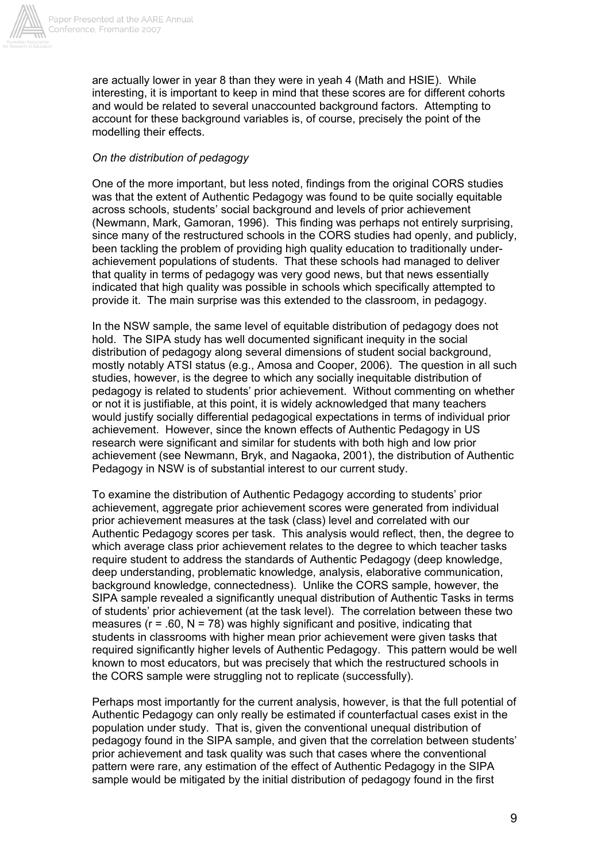

are actually lower in year 8 than they were in yeah 4 (Math and HSIE). While interesting, it is important to keep in mind that these scores are for different cohorts and would be related to several unaccounted background factors. Attempting to account for these background variables is, of course, precisely the point of the modelling their effects.

### *On the distribution of pedagogy*

One of the more important, but less noted, findings from the original CORS studies was that the extent of Authentic Pedagogy was found to be quite socially equitable across schools, students' social background and levels of prior achievement (Newmann, Mark, Gamoran, 1996). This finding was perhaps not entirely surprising, since many of the restructured schools in the CORS studies had openly, and publicly, been tackling the problem of providing high quality education to traditionally underachievement populations of students. That these schools had managed to deliver that quality in terms of pedagogy was very good news, but that news essentially indicated that high quality was possible in schools which specifically attempted to provide it. The main surprise was this extended to the classroom, in pedagogy.

In the NSW sample, the same level of equitable distribution of pedagogy does not hold. The SIPA study has well documented significant inequity in the social distribution of pedagogy along several dimensions of student social background, mostly notably ATSI status (e.g., Amosa and Cooper, 2006). The question in all such studies, however, is the degree to which any socially inequitable distribution of pedagogy is related to students' prior achievement. Without commenting on whether or not it is justifiable, at this point, it is widely acknowledged that many teachers would justify socially differential pedagogical expectations in terms of individual prior achievement. However, since the known effects of Authentic Pedagogy in US research were significant and similar for students with both high and low prior achievement (see Newmann, Bryk, and Nagaoka, 2001), the distribution of Authentic Pedagogy in NSW is of substantial interest to our current study.

To examine the distribution of Authentic Pedagogy according to students' prior achievement, aggregate prior achievement scores were generated from individual prior achievement measures at the task (class) level and correlated with our Authentic Pedagogy scores per task. This analysis would reflect, then, the degree to which average class prior achievement relates to the degree to which teacher tasks require student to address the standards of Authentic Pedagogy (deep knowledge, deep understanding, problematic knowledge, analysis, elaborative communication, background knowledge, connectedness). Unlike the CORS sample, however, the SIPA sample revealed a significantly unequal distribution of Authentic Tasks in terms of students' prior achievement (at the task level). The correlation between these two measures ( $r = .60$ ,  $N = 78$ ) was highly significant and positive, indicating that students in classrooms with higher mean prior achievement were given tasks that required significantly higher levels of Authentic Pedagogy. This pattern would be well known to most educators, but was precisely that which the restructured schools in the CORS sample were struggling not to replicate (successfully).

Perhaps most importantly for the current analysis, however, is that the full potential of Authentic Pedagogy can only really be estimated if counterfactual cases exist in the population under study. That is, given the conventional unequal distribution of pedagogy found in the SIPA sample, and given that the correlation between students' prior achievement and task quality was such that cases where the conventional pattern were rare, any estimation of the effect of Authentic Pedagogy in the SIPA sample would be mitigated by the initial distribution of pedagogy found in the first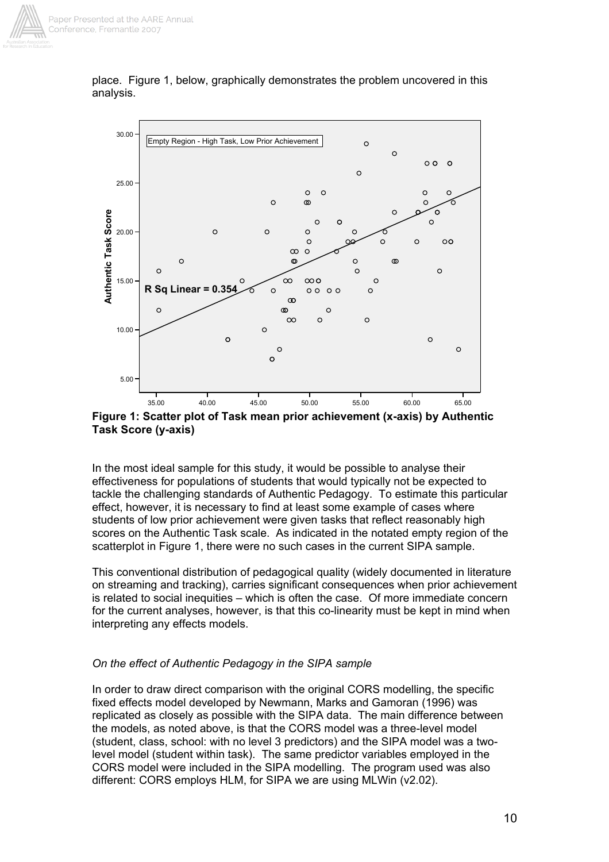

place. Figure 1, below, graphically demonstrates the problem uncovered in this analysis.



**Figure 1: Scatter plot of Task mean prior achievement (x-axis) by Authentic Task Score (y-axis)** 

In the most ideal sample for this study, it would be possible to analyse their effectiveness for populations of students that would typically not be expected to tackle the challenging standards of Authentic Pedagogy. To estimate this particular effect, however, it is necessary to find at least some example of cases where students of low prior achievement were given tasks that reflect reasonably high scores on the Authentic Task scale. As indicated in the notated empty region of the scatterplot in Figure 1, there were no such cases in the current SIPA sample.

This conventional distribution of pedagogical quality (widely documented in literature on streaming and tracking), carries significant consequences when prior achievement is related to social inequities – which is often the case. Of more immediate concern for the current analyses, however, is that this co-linearity must be kept in mind when interpreting any effects models.

## *On the effect of Authentic Pedagogy in the SIPA sample*

In order to draw direct comparison with the original CORS modelling, the specific fixed effects model developed by Newmann, Marks and Gamoran (1996) was replicated as closely as possible with the SIPA data. The main difference between the models, as noted above, is that the CORS model was a three-level model (student, class, school: with no level 3 predictors) and the SIPA model was a twolevel model (student within task). The same predictor variables employed in the CORS model were included in the SIPA modelling. The program used was also different: CORS employs HLM, for SIPA we are using MLWin (v2.02).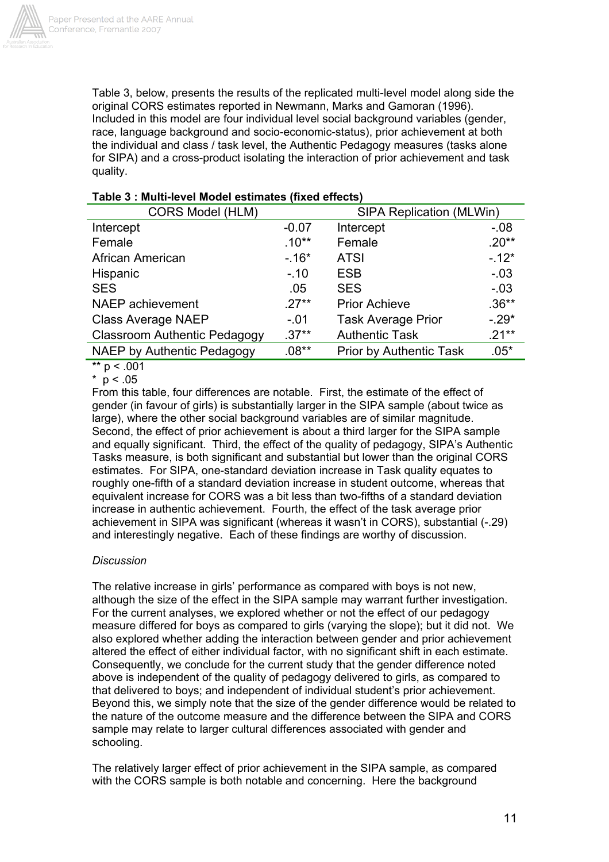

Table 3, below, presents the results of the replicated multi-level model along side the original CORS estimates reported in Newmann, Marks and Gamoran (1996). Included in this model are four individual level social background variables (gender, race, language background and socio-economic-status), prior achievement at both the individual and class / task level, the Authentic Pedagogy measures (tasks alone for SIPA) and a cross-product isolating the interaction of prior achievement and task quality.

| <b>CORS Model (HLM)</b>             |          | <b>SIPA Replication (MLWin)</b> |          |  |
|-------------------------------------|----------|---------------------------------|----------|--|
| Intercept                           | $-0.07$  | Intercept                       | $-0.08$  |  |
| Female                              | $.10**$  | Female                          | $.20**$  |  |
| African American                    | $-.16*$  | <b>ATSI</b>                     | $-12*$   |  |
| Hispanic                            | $-.10$   | <b>ESB</b>                      | $-.03$   |  |
| <b>SES</b>                          | .05      | <b>SES</b>                      | $-.03$   |  |
| NAEP achievement                    | $.27**$  | <b>Prior Achieve</b>            | $.36**$  |  |
| <b>Class Average NAEP</b>           | $-.01$   | <b>Task Average Prior</b>       | $-29*$   |  |
| <b>Classroom Authentic Pedagogy</b> | $.37**$  | <b>Authentic Task</b>           | $.21***$ |  |
| NAEP by Authentic Pedagogy          | $.08***$ | <b>Prior by Authentic Task</b>  | $.05*$   |  |

### **Table 3 : Multi-level Model estimates (fixed effects)**

\*\*  $p < .001$ 

 $*$  p < .05

From this table, four differences are notable. First, the estimate of the effect of gender (in favour of girls) is substantially larger in the SIPA sample (about twice as large), where the other social background variables are of similar magnitude. Second, the effect of prior achievement is about a third larger for the SIPA sample and equally significant. Third, the effect of the quality of pedagogy, SIPA's Authentic Tasks measure, is both significant and substantial but lower than the original CORS estimates. For SIPA, one-standard deviation increase in Task quality equates to roughly one-fifth of a standard deviation increase in student outcome, whereas that equivalent increase for CORS was a bit less than two-fifths of a standard deviation increase in authentic achievement. Fourth, the effect of the task average prior achievement in SIPA was significant (whereas it wasn't in CORS), substantial (-.29) and interestingly negative. Each of these findings are worthy of discussion.

## *Discussion*

The relative increase in girls' performance as compared with boys is not new, although the size of the effect in the SIPA sample may warrant further investigation. For the current analyses, we explored whether or not the effect of our pedagogy measure differed for boys as compared to girls (varying the slope); but it did not. We also explored whether adding the interaction between gender and prior achievement altered the effect of either individual factor, with no significant shift in each estimate. Consequently, we conclude for the current study that the gender difference noted above is independent of the quality of pedagogy delivered to girls, as compared to that delivered to boys; and independent of individual student's prior achievement. Beyond this, we simply note that the size of the gender difference would be related to the nature of the outcome measure and the difference between the SIPA and CORS sample may relate to larger cultural differences associated with gender and schooling.

The relatively larger effect of prior achievement in the SIPA sample, as compared with the CORS sample is both notable and concerning. Here the background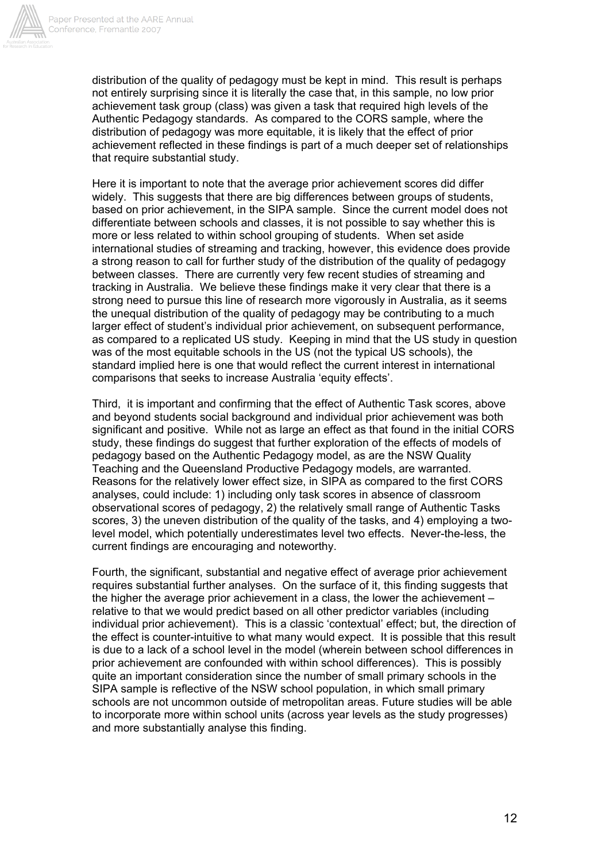

distribution of the quality of pedagogy must be kept in mind. This result is perhaps not entirely surprising since it is literally the case that, in this sample, no low prior achievement task group (class) was given a task that required high levels of the Authentic Pedagogy standards. As compared to the CORS sample, where the distribution of pedagogy was more equitable, it is likely that the effect of prior achievement reflected in these findings is part of a much deeper set of relationships that require substantial study.

Here it is important to note that the average prior achievement scores did differ widely. This suggests that there are big differences between groups of students, based on prior achievement, in the SIPA sample. Since the current model does not differentiate between schools and classes, it is not possible to say whether this is more or less related to within school grouping of students. When set aside international studies of streaming and tracking, however, this evidence does provide a strong reason to call for further study of the distribution of the quality of pedagogy between classes. There are currently very few recent studies of streaming and tracking in Australia. We believe these findings make it very clear that there is a strong need to pursue this line of research more vigorously in Australia, as it seems the unequal distribution of the quality of pedagogy may be contributing to a much larger effect of student's individual prior achievement, on subsequent performance, as compared to a replicated US study. Keeping in mind that the US study in question was of the most equitable schools in the US (not the typical US schools), the standard implied here is one that would reflect the current interest in international comparisons that seeks to increase Australia 'equity effects'.

Third, it is important and confirming that the effect of Authentic Task scores, above and beyond students social background and individual prior achievement was both significant and positive. While not as large an effect as that found in the initial CORS study, these findings do suggest that further exploration of the effects of models of pedagogy based on the Authentic Pedagogy model, as are the NSW Quality Teaching and the Queensland Productive Pedagogy models, are warranted. Reasons for the relatively lower effect size, in SIPA as compared to the first CORS analyses, could include: 1) including only task scores in absence of classroom observational scores of pedagogy, 2) the relatively small range of Authentic Tasks scores, 3) the uneven distribution of the quality of the tasks, and 4) employing a twolevel model, which potentially underestimates level two effects. Never-the-less, the current findings are encouraging and noteworthy.

Fourth, the significant, substantial and negative effect of average prior achievement requires substantial further analyses. On the surface of it, this finding suggests that the higher the average prior achievement in a class, the lower the achievement – relative to that we would predict based on all other predictor variables (including individual prior achievement). This is a classic 'contextual' effect; but, the direction of the effect is counter-intuitive to what many would expect. It is possible that this result is due to a lack of a school level in the model (wherein between school differences in prior achievement are confounded with within school differences). This is possibly quite an important consideration since the number of small primary schools in the SIPA sample is reflective of the NSW school population, in which small primary schools are not uncommon outside of metropolitan areas. Future studies will be able to incorporate more within school units (across year levels as the study progresses) and more substantially analyse this finding.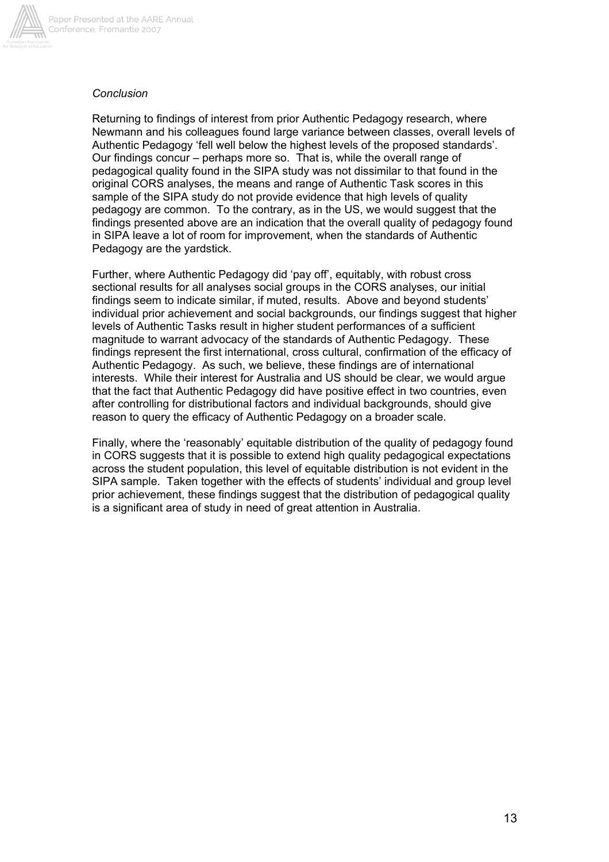

# Paper Presented at the AARE Annual Conference, Fremantle 2007

## *Conclusion*

Returning to findings of interest from prior Authentic Pedagogy research, where Newmann and his colleagues found large variance between classes, overall levels of Authentic Pedagogy 'fell well below the highest levels of the proposed standards'. Our findings concur – perhaps more so. That is, while the overall range of pedagogical quality found in the SIPA study was not dissimilar to that found in the original CORS analyses, the means and range of Authentic Task scores in this sample of the SIPA study do not provide evidence that high levels of quality pedagogy are common. To the contrary, as in the US, we would suggest that the findings presented above are an indication that the overall quality of pedagogy found in SIPA leave a lot of room for improvement, when the standards of Authentic Pedagogy are the yardstick.

Further, where Authentic Pedagogy did 'pay off', equitably, with robust cross sectional results for all analyses social groups in the CORS analyses, our initial findings seem to indicate similar, if muted, results. Above and beyond students' individual prior achievement and social backgrounds, our findings suggest that higher levels of Authentic Tasks result in higher student performances of a sufficient magnitude to warrant advocacy of the standards of Authentic Pedagogy. These findings represent the first international, cross cultural, confirmation of the efficacy of Authentic Pedagogy. As such, we believe, these findings are of international interests. While their interest for Australia and US should be clear, we would argue that the fact that Authentic Pedagogy did have positive effect in two countries, even after controlling for distributional factors and individual backgrounds, should give reason to query the efficacy of Authentic Pedagogy on a broader scale.

Finally, where the 'reasonably' equitable distribution of the quality of pedagogy found in CORS suggests that it is possible to extend high quality pedagogical expectations across the student population, this level of equitable distribution is not evident in the SIPA sample. Taken together with the effects of students' individual and group level prior achievement, these findings suggest that the distribution of pedagogical quality is a significant area of study in need of great attention in Australia.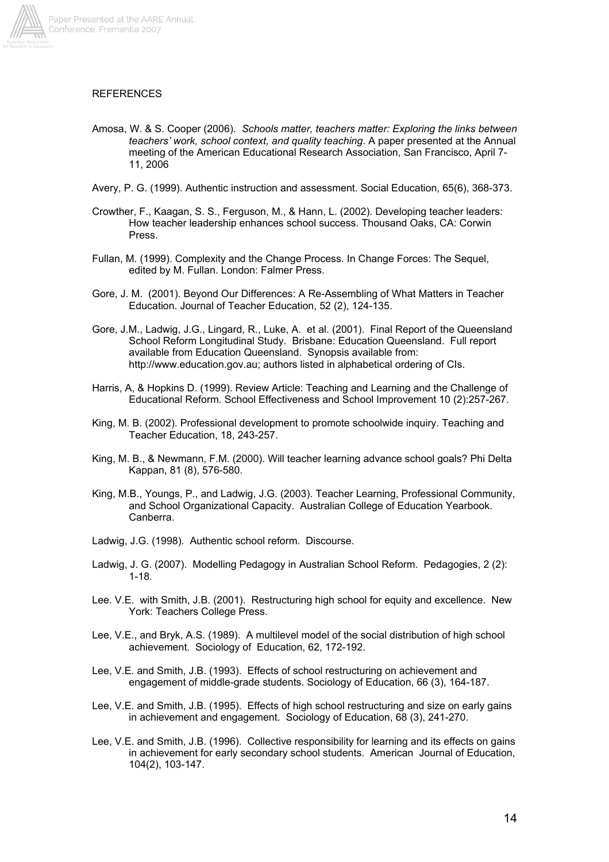

#### **REFERENCES**

- Amosa, W. & S. Cooper (2006). *Schools matter, teachers matter: Exploring the links between teachers' work, school context, and quality teaching*. A paper presented at the Annual meeting of the American Educational Research Association, San Francisco, April 7- 11, 2006
- Avery, P. G. (1999). Authentic instruction and assessment. Social Education, 65(6), 368-373.
- Crowther, F., Kaagan, S. S., Ferguson, M., & Hann, L. (2002). Developing teacher leaders: How teacher leadership enhances school success. Thousand Oaks, CA: Corwin Press.
- Fullan, M. (1999). Complexity and the Change Process. In Change Forces: The Sequel, edited by M. Fullan. London: Falmer Press.
- Gore, J. M. (2001). Beyond Our Differences: A Re-Assembling of What Matters in Teacher Education. Journal of Teacher Education, 52 (2), 124-135.
- Gore, J.M., Ladwig, J.G., Lingard, R., Luke, A. et al. (2001). Final Report of the Queensland School Reform Longitudinal Study. Brisbane: Education Queensland. Full report available from Education Queensland. Synopsis available from: http://www.education.gov.au; authors listed in alphabetical ordering of CIs.
- Harris, A, & Hopkins D. (1999). Review Article: Teaching and Learning and the Challenge of Educational Reform. School Effectiveness and School Improvement 10 (2):257-267.
- King, M. B. (2002). Professional development to promote schoolwide inquiry. Teaching and Teacher Education, 18, 243-257.
- King, M. B., & Newmann, F.M. (2000). Will teacher learning advance school goals? Phi Delta Kappan, 81 (8), 576-580.
- King, M.B., Youngs, P., and Ladwig, J.G. (2003). Teacher Learning, Professional Community, and School Organizational Capacity. Australian College of Education Yearbook. Canberra.
- Ladwig, J.G. (1998). Authentic school reform. Discourse.
- Ladwig, J. G. (2007). Modelling Pedagogy in Australian School Reform. Pedagogies, 2 (2): 1-18.
- Lee. V.E. with Smith, J.B. (2001). Restructuring high school for equity and excellence. New York: Teachers College Press.
- Lee, V.E., and Bryk, A.S. (1989). A multilevel model of the social distribution of high school achievement. Sociology of Education, 62, 172-192.
- Lee, V.E. and Smith, J.B. (1993). Effects of school restructuring on achievement and engagement of middle-grade students. Sociology of Education, 66 (3), 164-187.
- Lee, V.E. and Smith, J.B. (1995). Effects of high school restructuring and size on early gains in achievement and engagement. Sociology of Education, 68 (3), 241-270.
- Lee, V.E. and Smith, J.B. (1996). Collective responsibility for learning and its effects on gains in achievement for early secondary school students. American Journal of Education, 104(2), 103-147.